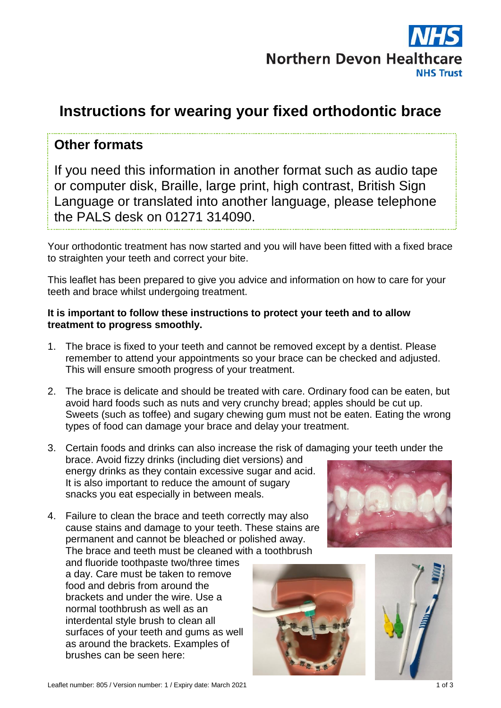

# **Instructions for wearing your fixed orthodontic brace**

### **Other formats**

If you need this information in another format such as audio tape or computer disk, Braille, large print, high contrast, British Sign Language or translated into another language, please telephone the PALS desk on 01271 314090.

Your orthodontic treatment has now started and you will have been fitted with a fixed brace to straighten your teeth and correct your bite.

This leaflet has been prepared to give you advice and information on how to care for your teeth and brace whilst undergoing treatment.

#### **It is important to follow these instructions to protect your teeth and to allow treatment to progress smoothly.**

- 1. The brace is fixed to your teeth and cannot be removed except by a dentist. Please remember to attend your appointments so your brace can be checked and adjusted. This will ensure smooth progress of your treatment.
- 2. The brace is delicate and should be treated with care. Ordinary food can be eaten, but avoid hard foods such as nuts and very crunchy bread; apples should be cut up. Sweets (such as toffee) and sugary chewing gum must not be eaten. Eating the wrong types of food can damage your brace and delay your treatment.
- 3. Certain foods and drinks can also increase the risk of damaging your teeth under the brace. Avoid fizzy drinks (including diet versions) and energy drinks as they contain excessive sugar and acid. It is also important to reduce the amount of sugary snacks you eat especially in between meals.
- 4. Failure to clean the brace and teeth correctly may also cause stains and damage to your teeth. These stains are permanent and cannot be bleached or polished away. The brace and teeth must be cleaned with a toothbrush

and fluoride toothpaste two/three times a day. Care must be taken to remove food and debris from around the brackets and under the wire. Use a normal toothbrush as well as an interdental style brush to clean all surfaces of your teeth and gums as well as around the brackets. Examples of brushes can be seen here:





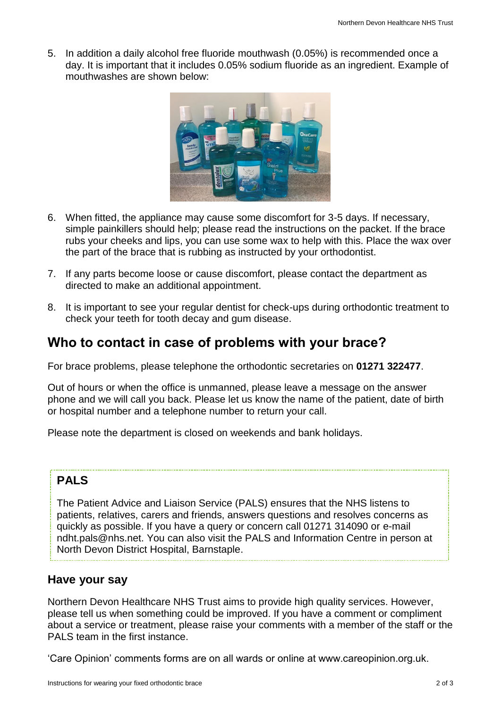5. In addition a daily alcohol free fluoride mouthwash (0.05%) is recommended once a day. It is important that it includes 0.05% sodium fluoride as an ingredient. Example of mouthwashes are shown below:



- 6. When fitted, the appliance may cause some discomfort for 3-5 days. If necessary, simple painkillers should help; please read the instructions on the packet. If the brace rubs your cheeks and lips, you can use some wax to help with this. Place the wax over the part of the brace that is rubbing as instructed by your orthodontist.
- 7. If any parts become loose or cause discomfort, please contact the department as directed to make an additional appointment.
- 8. It is important to see your regular dentist for check-ups during orthodontic treatment to check your teeth for tooth decay and gum disease.

## **Who to contact in case of problems with your brace?**

For brace problems, please telephone the orthodontic secretaries on **01271 322477**.

Out of hours or when the office is unmanned, please leave a message on the answer phone and we will call you back. Please let us know the name of the patient, date of birth or hospital number and a telephone number to return your call.

Please note the department is closed on weekends and bank holidays.

### **PALS**

The Patient Advice and Liaison Service (PALS) ensures that the NHS listens to patients, relatives, carers and friends, answers questions and resolves concerns as quickly as possible. If you have a query or concern call 01271 314090 or e-mail ndht.pals@nhs.net. You can also visit the PALS and Information Centre in person at North Devon District Hospital, Barnstaple.

### **Have your say**

Northern Devon Healthcare NHS Trust aims to provide high quality services. However, please tell us when something could be improved. If you have a comment or compliment about a service or treatment, please raise your comments with a member of the staff or the PALS team in the first instance.

'Care Opinion' comments forms are on all wards or online at www.careopinion.org.uk.